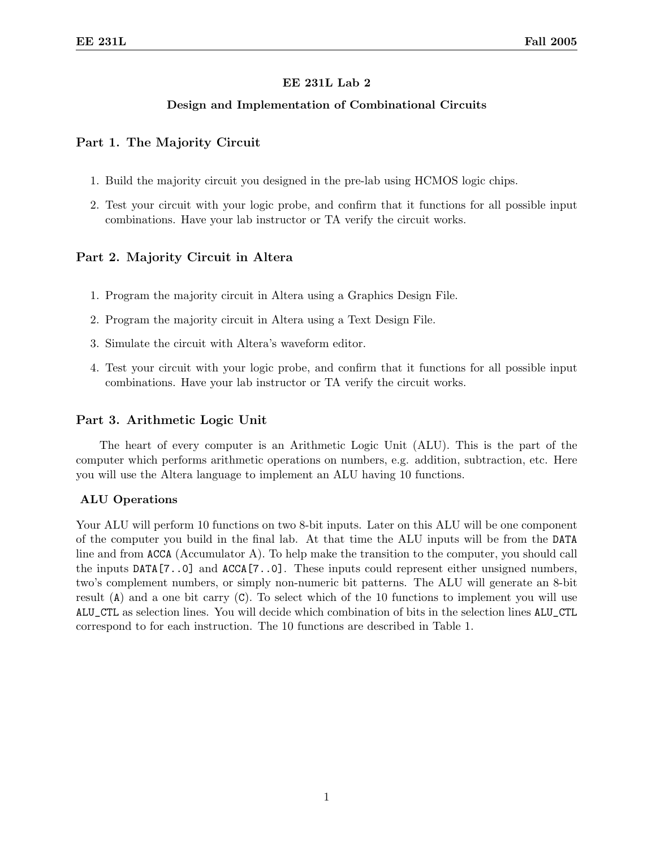## EE 231L Lab 2

## Design and Implementation of Combinational Circuits

## Part 1. The Majority Circuit

- 1. Build the majority circuit you designed in the pre-lab using HCMOS logic chips.
- 2. Test your circuit with your logic probe, and confirm that it functions for all possible input combinations. Have your lab instructor or TA verify the circuit works.

# Part 2. Majority Circuit in Altera

- 1. Program the majority circuit in Altera using a Graphics Design File.
- 2. Program the majority circuit in Altera using a Text Design File.
- 3. Simulate the circuit with Altera's waveform editor.
- 4. Test your circuit with your logic probe, and confirm that it functions for all possible input combinations. Have your lab instructor or TA verify the circuit works.

## Part 3. Arithmetic Logic Unit

The heart of every computer is an Arithmetic Logic Unit (ALU). This is the part of the computer which performs arithmetic operations on numbers, e.g. addition, subtraction, etc. Here you will use the Altera language to implement an ALU having 10 functions.

#### ALU Operations

Your ALU will perform 10 functions on two 8-bit inputs. Later on this ALU will be one component of the computer you build in the final lab. At that time the ALU inputs will be from the DATA line and from ACCA (Accumulator A). To help make the transition to the computer, you should call the inputs DATA[7..0] and ACCA[7..0]. These inputs could represent either unsigned numbers, two's complement numbers, or simply non-numeric bit patterns. The ALU will generate an 8-bit result  $(A)$  and a one bit carry  $(C)$ . To select which of the 10 functions to implement you will use ALU\_CTL as selection lines. You will decide which combination of bits in the selection lines ALU\_CTL correspond to for each instruction. The 10 functions are described in Table 1.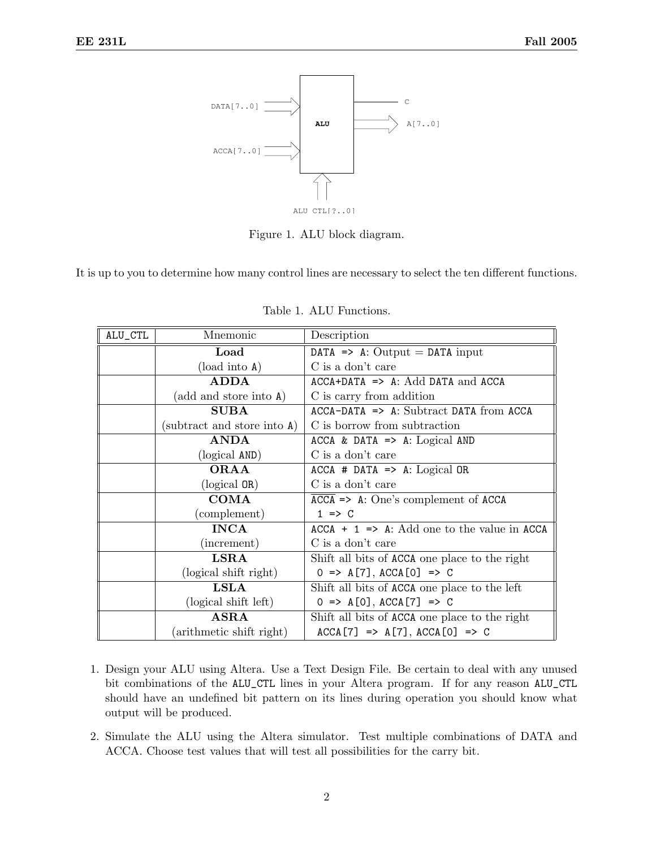

Figure 1. ALU block diagram.

It is up to you to determine how many control lines are necessary to select the ten different functions.

| ALU_CTL | Mnemonic                    | Description                                         |
|---------|-----------------------------|-----------------------------------------------------|
|         | Load                        | DATA $\Rightarrow$ A: Output = DATA input           |
|         | (load into A)               | C is a don't care                                   |
|         | <b>ADDA</b>                 | $ACCA+DATA \implies A: Add DATA and ACCA$           |
|         | (add and store into A)      | C is carry from addition                            |
|         | <b>SUBA</b>                 | $ACCA-DATA \implies A: Subtract DATA from ACCA$     |
|         | (subtract and store into A) | C is borrow from subtraction                        |
|         | <b>ANDA</b>                 | ACCA & DATA $\Rightarrow$ A: Logical AND            |
|         | (logical AND)               | C is a don't care                                   |
|         | <b>ORAA</b>                 | $ACCA$ # DATA => A: Logical OR                      |
|         | $(logical$ OR)              | C is a don't care                                   |
|         | <b>COMA</b>                 | $\overline{ACCA}$ => A: One's complement of ACCA    |
|         | (complement)                | $1 \Rightarrow C$                                   |
|         | <b>INCA</b>                 | $ACCA + 1 \implies A: Add one to the value in ACCA$ |
|         | (increment)                 | C is a don't care                                   |
|         | $_{\rm LSRA}$               | Shift all bits of ACCA one place to the right       |
|         | (logical shift right)       | $0 \implies A[7], ACCA[0] \implies C$               |
|         | LSLA                        | Shift all bits of ACCA one place to the left        |
|         | (logical shift left)        | $0 \implies A[0], ACCA[T] \implies C$               |
|         | $\bf ASRA$                  | Shift all bits of ACCA one place to the right       |
|         | (arithmetic shift right)    | $ACCA [7]$ => $A [7]$ , $ACCA [0]$ => C             |

Table 1. ALU Functions.

- 1. Design your ALU using Altera. Use a Text Design File. Be certain to deal with any unused bit combinations of the ALU\_CTL lines in your Altera program. If for any reason ALU\_CTL should have an undefined bit pattern on its lines during operation you should know what output will be produced.
- 2. Simulate the ALU using the Altera simulator. Test multiple combinations of DATA and ACCA. Choose test values that will test all possibilities for the carry bit.